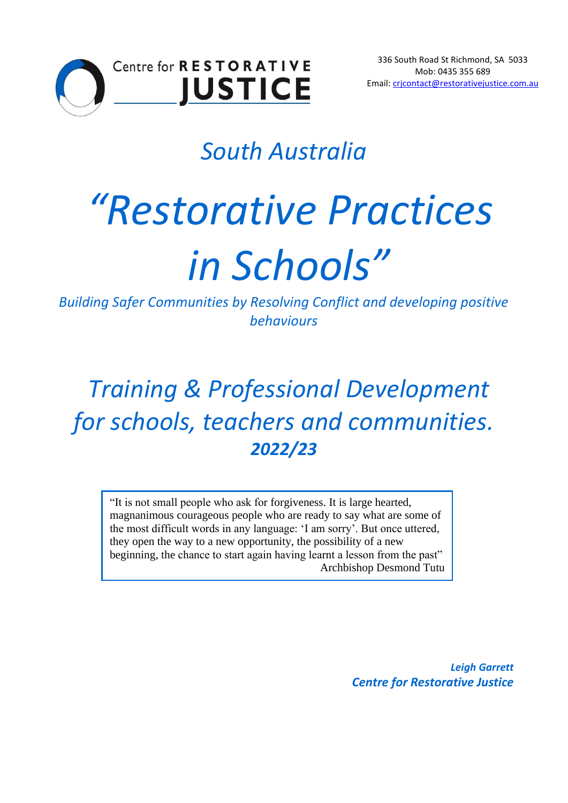

# *South Australia*

# *"Restorative Practices*

# *in Schools"*

*Building Safer Communities by Resolving Conflict and developing positive behaviours*

# *Training & Professional Development for schools, teachers and communities. 2022/23*

"It is not small people who ask for forgiveness. It is large hearted, magnanimous courageous people who are ready to say what are some of the most difficult words in any language: 'I am sorry'. But once uttered, they open the way to a new opportunity, the possibility of a new beginning, the chance to start again having learnt a lesson from the past" Archbishop Desmond Tutu

> *Leigh Garrett Centre for Restorative Justice*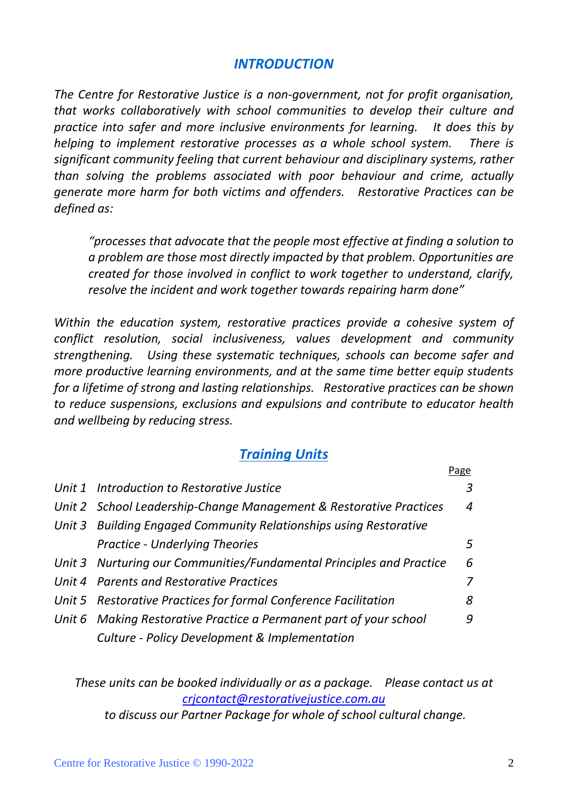# *INTRODUCTION*

*The Centre for Restorative Justice is a non-government, not for profit organisation, that works collaboratively with school communities to develop their culture and practice into safer and more inclusive environments for learning. It does this by helping to implement restorative processes as a whole school system. There is significant community feeling that current behaviour and disciplinary systems, rather than solving the problems associated with poor behaviour and crime, actually generate more harm for both victims and offenders. Restorative Practices can be defined as:*

*"processes that advocate that the people most effective at finding a solution to a problem are those most directly impacted by that problem. Opportunities are created for those involved in conflict to work together to understand, clarify, resolve the incident and work together towards repairing harm done"*

*Within the education system, restorative practices provide a cohesive system of conflict resolution, social inclusiveness, values development and community strengthening. Using these systematic techniques, schools can become safer and more productive learning environments, and at the same time better equip students for a lifetime of strong and lasting relationships. Restorative practices can be shown to reduce suspensions, exclusions and expulsions and contribute to educator health and wellbeing by reducing stress.*

# *Training Units*

|                                                                      | Page           |
|----------------------------------------------------------------------|----------------|
| Unit 1 Introduction to Restorative Justice                           | 3              |
| Unit 2 School Leadership-Change Management & Restorative Practices   | $\overline{4}$ |
| Unit 3 Building Engaged Community Relationships using Restorative    |                |
| <b>Practice - Underlying Theories</b>                                | 5              |
| Unit 3 Nurturing our Communities/Fundamental Principles and Practice | 6              |
| Unit 4 Parents and Restorative Practices                             |                |
| Unit 5 Restorative Practices for formal Conference Facilitation      | 8              |
| Unit 6 Making Restorative Practice a Permanent part of your school   | g              |
| <b>Culture - Policy Development &amp; Implementation</b>             |                |

*These units can be booked individually or as a package. Please contact us at [crjcontact@restorativejustice.com.au](mailto:crjcontact@restorativejustice.com.au)*

*to discuss our Partner Package for whole of school cultural change.*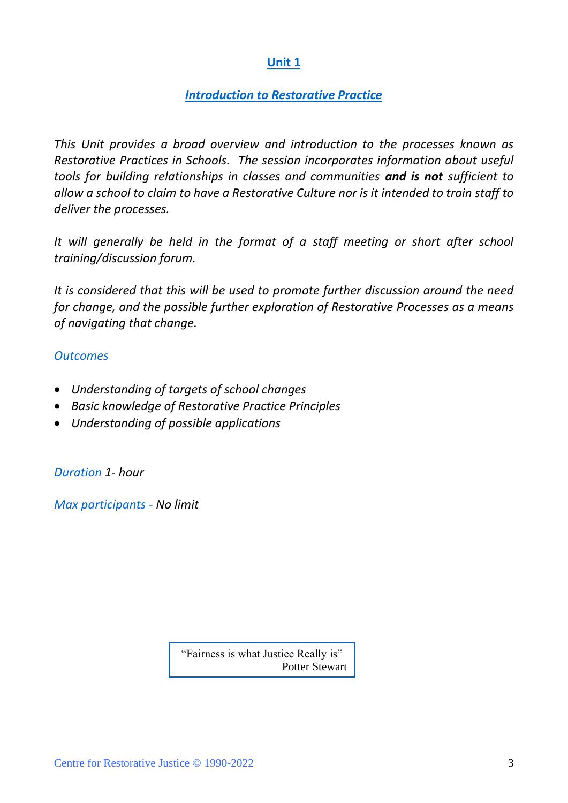#### *Introduction to Restorative Practice*

*This Unit provides a broad overview and introduction to the processes known as Restorative Practices in Schools. The session incorporates information about useful tools for building relationships in classes and communities and is not sufficient to allow a school to claim to have a Restorative Culture nor is it intended to train staff to deliver the processes.*

It will generally be held in the format of a staff meeting or short after school *training/discussion forum.*

*It is considered that this will be used to promote further discussion around the need for change, and the possible further exploration of Restorative Processes as a means of navigating that change.*

#### *Outcomes*

- *Understanding of targets of school changes*
- *Basic knowledge of Restorative Practice Principles*
- *Understanding of possible applications*

*Duration 1- hour* 

*Max participants - No limit*

"Fairness is what Justice Really is" Potter Stewart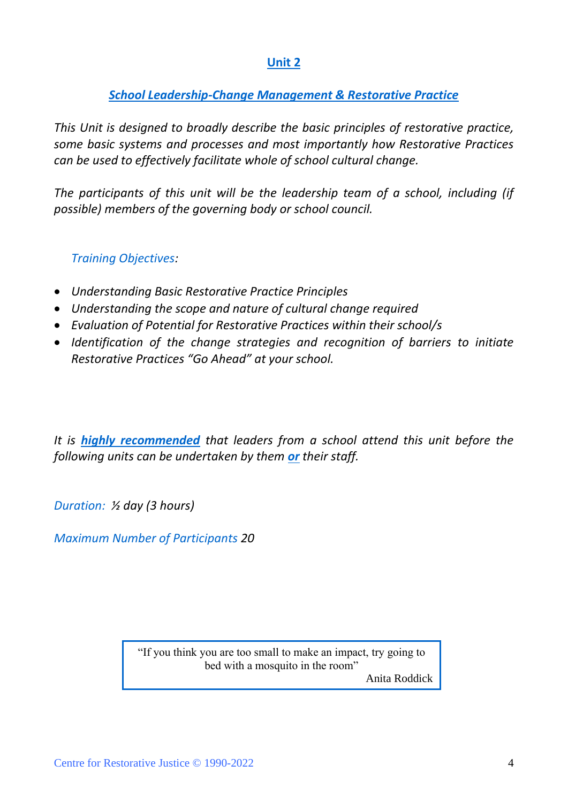# *School Leadership-Change Management & Restorative Practice*

*This Unit is designed to broadly describe the basic principles of restorative practice, some basic systems and processes and most importantly how Restorative Practices can be used to effectively facilitate whole of school cultural change.*

*The participants of this unit will be the leadership team of a school, including (if possible) members of the governing body or school council.*

#### *Training Objectives:*

- *Understanding Basic Restorative Practice Principles*
- *Understanding the scope and nature of cultural change required*
- *Evaluation of Potential for Restorative Practices within their school/s*
- *Identification of the change strategies and recognition of barriers to initiate Restorative Practices "Go Ahead" at your school.*

*It is highly recommended that leaders from a school attend this unit before the following units can be undertaken by them or their staff.*

*Duration: ½ day (3 hours)*

*Maximum Number of Participants 20*

bed with a mosquito in the room" "If you think you are too small to make an impact, try going to Anita Roddick

Centre for Restorative Justice © 1990-2022 4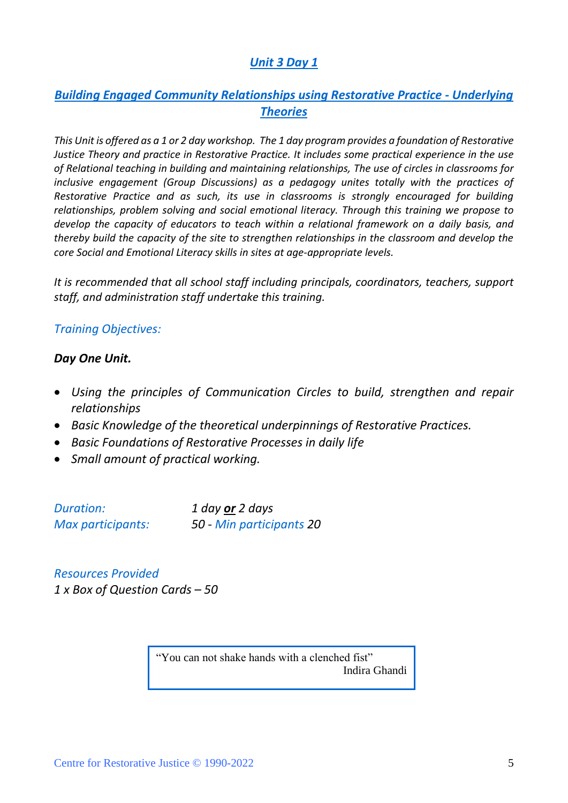# *Unit 3 Day 1*

## *Building Engaged Community Relationships using Restorative Practice - Underlying Theories*

*This Unit is offered as a 1 or 2 day workshop. The 1 day program provides a foundation of Restorative Justice Theory and practice in Restorative Practice. It includes some practical experience in the use of Relational teaching in building and maintaining relationships, The use of circles in classrooms for inclusive engagement (Group Discussions) as a pedagogy unites totally with the practices of Restorative Practice and as such, its use in classrooms is strongly encouraged for building relationships, problem solving and social emotional literacy. Through this training we propose to develop the capacity of educators to teach within a relational framework on a daily basis, and thereby build the capacity of the site to strengthen relationships in the classroom and develop the core Social and Emotional Literacy skills in sites at age-appropriate levels.* 

*It is recommended that all school staff including principals, coordinators, teachers, support staff, and administration staff undertake this training.*

#### *Training Objectives:*

#### *Day One Unit.*

- *Using the principles of Communication Circles to build, strengthen and repair relationships*
- *Basic Knowledge of the theoretical underpinnings of Restorative Practices.*
- *Basic Foundations of Restorative Processes in daily life*
- *Small amount of practical working.*

| <b>Duration:</b>  | 1 day <u>or</u> 2 days   |
|-------------------|--------------------------|
| Max participants: | 50 - Min participants 20 |

*Resources Provided 1 x Box of Question Cards – 50*

> "You can not shake hands with a clenched fist" Indira Ghandi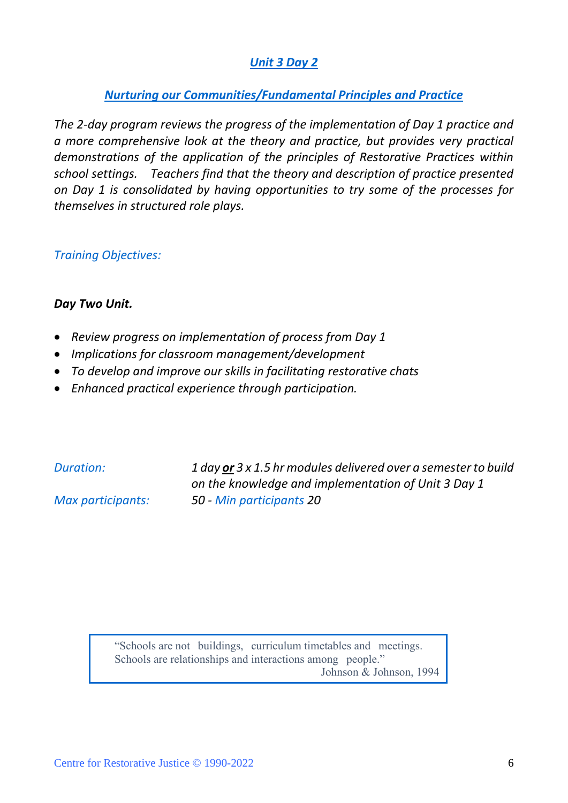# *Unit 3 Day 2*

#### *Nurturing our Communities/Fundamental Principles and Practice*

*The 2-day program reviews the progress of the implementation of Day 1 practice and a more comprehensive look at the theory and practice, but provides very practical demonstrations of the application of the principles of Restorative Practices within school settings. Teachers find that the theory and description of practice presented on Day 1 is consolidated by having opportunities to try some of the processes for themselves in structured role plays.*

#### *Training Objectives:*

#### *Day Two Unit.*

- *Review progress on implementation of process from Day 1*
- *Implications for classroom management/development*
- *To develop and improve our skills in facilitating restorative chats*
- *Enhanced practical experience through participation.*

*Duration: 1 day or 3 x 1.5 hr modules delivered over a semester to build on the knowledge and implementation of Unit 3 Day 1 Max participants: 50 - Min participants 20*

Moshe Dayan

"Schools are not buildings, curriculum timetables and meetings. Schools are relationships and interactions among people." Johnson & Johnson, 1994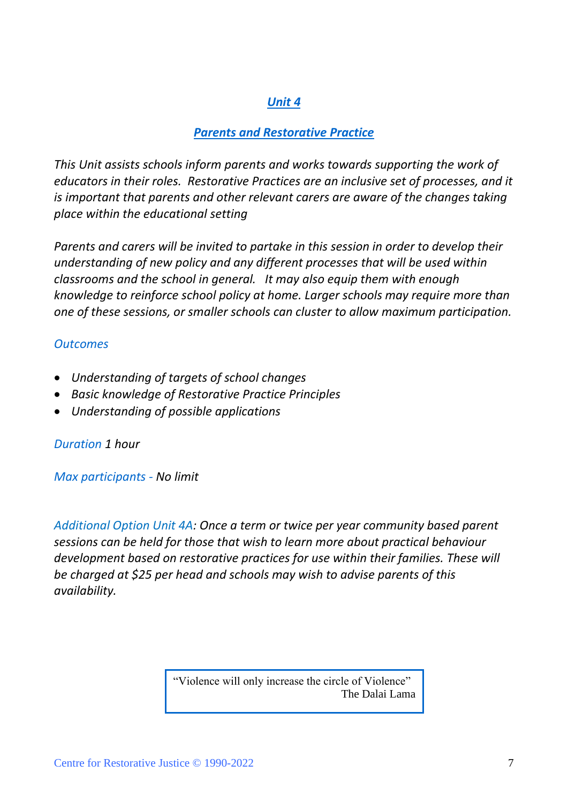#### *Parents and Restorative Practice*

*This Unit assists schools inform parents and works towards supporting the work of educators in their roles. Restorative Practices are an inclusive set of processes, and it is important that parents and other relevant carers are aware of the changes taking place within the educational setting* 

*Parents and carers will be invited to partake in this session in order to develop their understanding of new policy and any different processes that will be used within classrooms and the school in general. It may also equip them with enough knowledge to reinforce school policy at home. Larger schools may require more than one of these sessions, or smaller schools can cluster to allow maximum participation.*

#### *Outcomes*

- *Understanding of targets of school changes*
- *Basic knowledge of Restorative Practice Principles*
- *Understanding of possible applications*

#### *Duration 1 hour*

*Max participants - No limit*

*Additional Option Unit 4A: Once a term or twice per year community based parent sessions can be held for those that wish to learn more about practical behaviour development based on restorative practices for use within their families. These will be charged at \$25 per head and schools may wish to advise parents of this availability.* 

> "Violence will only increase the circle of Violence" The Dalai Lama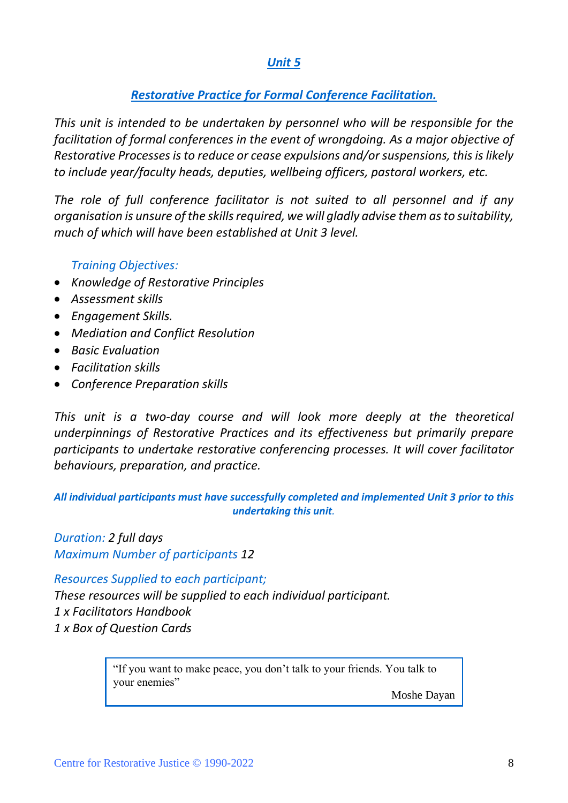# *Restorative Practice for Formal Conference Facilitation.*

*This unit is intended to be undertaken by personnel who will be responsible for the facilitation of formal conferences in the event of wrongdoing. As a major objective of Restorative Processes is to reduce or cease expulsions and/or suspensions, this is likely to include year/faculty heads, deputies, wellbeing officers, pastoral workers, etc.* 

*The role of full conference facilitator is not suited to all personnel and if any organisation is unsure of the skills required, we will gladly advise them as to suitability, much of which will have been established at Unit 3 level.*

#### *Training Objectives:*

- *Knowledge of Restorative Principles*
- *Assessment skills*
- *Engagement Skills.*
- *Mediation and Conflict Resolution*
- *Basic Evaluation*
- *Facilitation skills*
- *Conference Preparation skills*

*This unit is a two-day course and will look more deeply at the theoretical underpinnings of Restorative Practices and its effectiveness but primarily prepare participants to undertake restorative conferencing processes. It will cover facilitator behaviours, preparation, and practice.*

*All individual participants must have successfully completed and implemented Unit 3 prior to this undertaking this unit.*

*Duration: 2 full days Maximum Number of participants 12*

*Resources Supplied to each participant;*

*These resources will be supplied to each individual participant. 1 x Facilitators Handbook 1 x Box of Question Cards*

> "If you want to make peace, you don't talk to your friends. You talk to your enemies"

> > Moshe Dayan